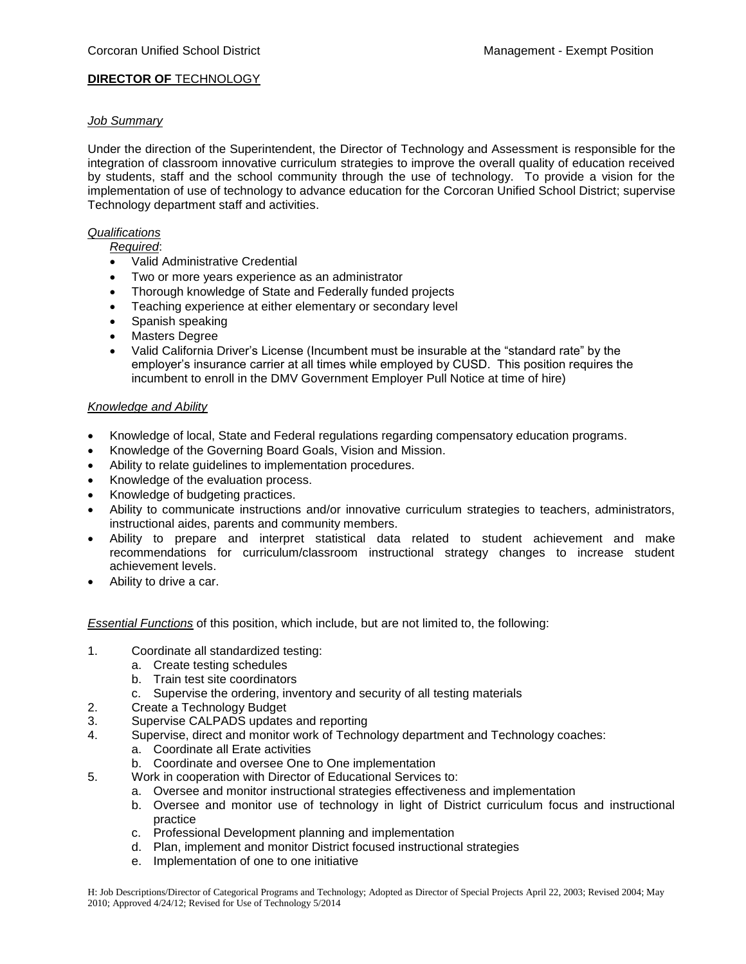# **DIRECTOR OF TECHNOLOGY**

### *Job Summary*

Under the direction of the Superintendent, the Director of Technology and Assessment is responsible for the integration of classroom innovative curriculum strategies to improve the overall quality of education received by students, staff and the school community through the use of technology. To provide a vision for the implementation of use of technology to advance education for the Corcoran Unified School District; supervise Technology department staff and activities.

### *Qualifications*

### *Required*:

- Valid Administrative Credential
- Two or more years experience as an administrator
- Thorough knowledge of State and Federally funded projects
- Teaching experience at either elementary or secondary level
- Spanish speaking
- Masters Degree
- Valid California Driver's License (Incumbent must be insurable at the "standard rate" by the employer's insurance carrier at all times while employed by CUSD. This position requires the incumbent to enroll in the DMV Government Employer Pull Notice at time of hire)

# *Knowledge and Ability*

- Knowledge of local, State and Federal regulations regarding compensatory education programs.
- Knowledge of the Governing Board Goals, Vision and Mission.
- Ability to relate guidelines to implementation procedures.
- Knowledge of the evaluation process.
- Knowledge of budgeting practices.
- Ability to communicate instructions and/or innovative curriculum strategies to teachers, administrators, instructional aides, parents and community members.
- Ability to prepare and interpret statistical data related to student achievement and make recommendations for curriculum/classroom instructional strategy changes to increase student achievement levels.
- Ability to drive a car.

*Essential Functions* of this position, which include, but are not limited to, the following:

- 1. Coordinate all standardized testing:
	- a. Create testing schedules
	- b. Train test site coordinators
	- c. Supervise the ordering, inventory and security of all testing materials
- 2. Create a Technology Budget
- 3. Supervise CALPADS updates and reporting
- 4. Supervise, direct and monitor work of Technology department and Technology coaches:
	- a. Coordinate all Erate activities
	- b. Coordinate and oversee One to One implementation
- 5. Work in cooperation with Director of Educational Services to:
	- a. Oversee and monitor instructional strategies effectiveness and implementation
	- b. Oversee and monitor use of technology in light of District curriculum focus and instructional practice
	- c. Professional Development planning and implementation
	- d. Plan, implement and monitor District focused instructional strategies
	- e. Implementation of one to one initiative